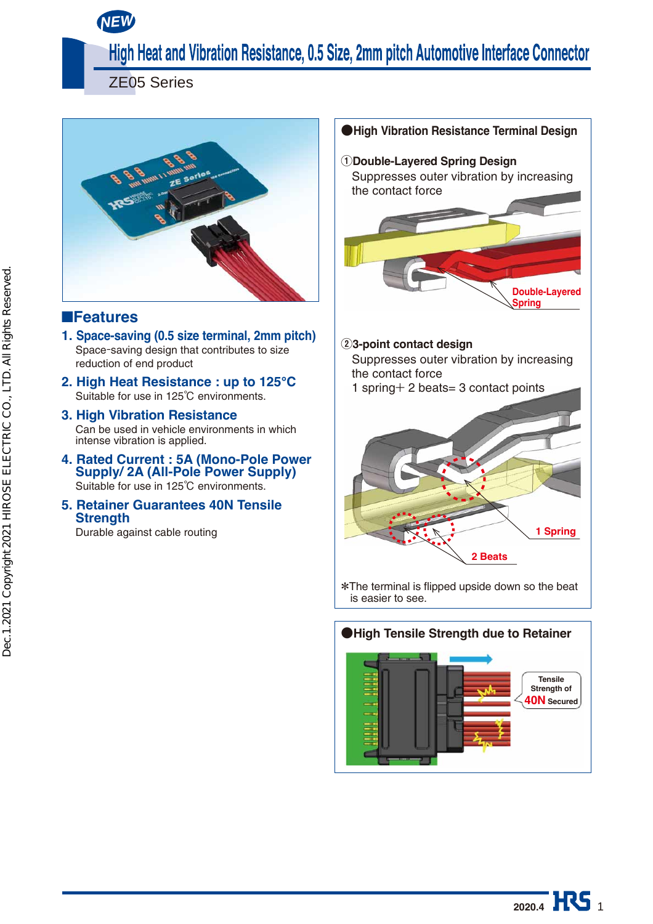**NEW**

# High Heat and Vibration Resistance, 0.5 Size, 2mm pitch Automotive Interface Connector

ZE05 Series



#### ■**Features**

- **1. Space-saving (0.5 size terminal, 2mm pitch)** Space-saving design that contributes to size reduction of end product
- **2. High Heat Resistance : up to 125℃** Suitable for use in 125℃ environments.
- **3. High Vibration Resistance**  Can be used in vehicle environments in which intense vibration is applied.
- **4. Rated Current : 5A (Mono-Pole Power Supply/ 2A (All-Pole Power Supply)** Suitable for use in 125℃ environments.
- **5. Retainer Guarantees 40N Tensile Strength** Durable against cable routing



**●High Vibration Resistance Terminal Design**



\*The terminal is flipped upside down so the beat is easier to see.



**2020.4 HS**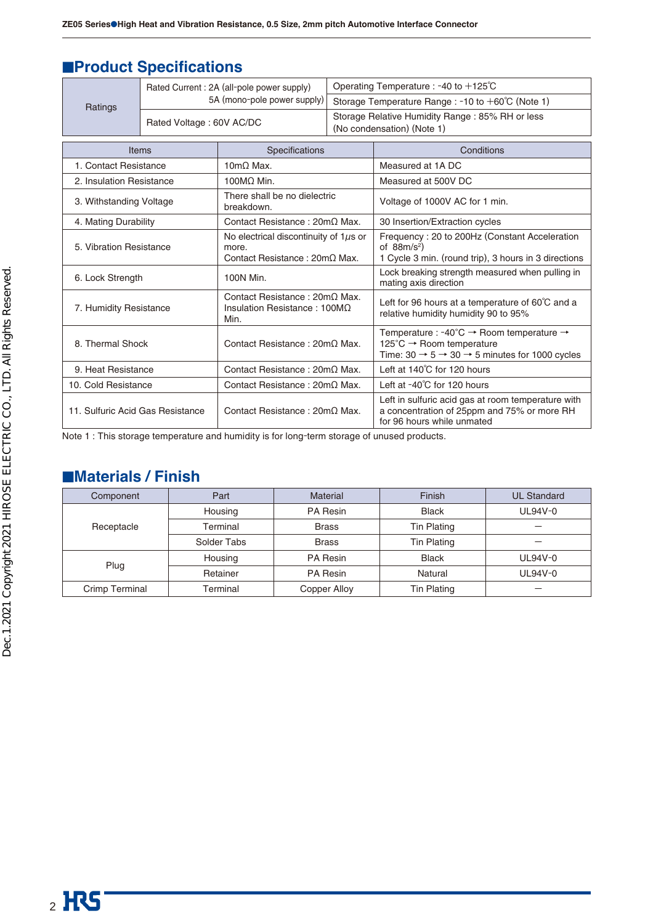# **■Product Specifications**

|                                  | Rated Current: 2A (all-pole power supply) |                                                                                      | Operating Temperature : -40 to $+125^{\circ}$ C   |                                                                                                                                                                   |  |  |
|----------------------------------|-------------------------------------------|--------------------------------------------------------------------------------------|---------------------------------------------------|-------------------------------------------------------------------------------------------------------------------------------------------------------------------|--|--|
| Ratings                          |                                           | 5A (mono-pole power supply)                                                          | Storage Temperature Range : -10 to +60°C (Note 1) |                                                                                                                                                                   |  |  |
|                                  | Rated Voltage: 60V AC/DC                  |                                                                                      |                                                   | Storage Relative Humidity Range: 85% RH or less<br>(No condensation) (Note 1)                                                                                     |  |  |
| <b>Items</b>                     |                                           | Specifications                                                                       |                                                   | Conditions                                                                                                                                                        |  |  |
| 1. Contact Resistance            |                                           | $10 \text{m}\Omega$ Max.                                                             |                                                   | Measured at 1A DC                                                                                                                                                 |  |  |
| 2. Insulation Resistance         |                                           | 100MΩ Min.                                                                           |                                                   | Measured at 500V DC                                                                                                                                               |  |  |
| 3. Withstanding Voltage          |                                           | There shall be no dielectric<br>breakdown.                                           |                                                   | Voltage of 1000V AC for 1 min.                                                                                                                                    |  |  |
| 4. Mating Durability             |                                           | Contact Resistance: $20 \text{m}\Omega$ Max.                                         |                                                   | 30 Insertion/Extraction cycles                                                                                                                                    |  |  |
| 5. Vibration Resistance          |                                           | No electrical discontinuity of $1\mu s$ or<br>more.<br>Contact Resistance: 20mΩ Max. |                                                   | Frequency: 20 to 200Hz (Constant Acceleration<br>of $88m/s^2$ )<br>1 Cycle 3 min. (round trip), 3 hours in 3 directions                                           |  |  |
| 6. Lock Strength                 |                                           | 100N Min.                                                                            |                                                   | Lock breaking strength measured when pulling in<br>mating axis direction                                                                                          |  |  |
| 7. Humidity Resistance           |                                           | Contact Resistance: $20m\Omega$ Max.<br>Insulation Resistance: 100M $\Omega$<br>Min. |                                                   | Left for 96 hours at a temperature of 60°C and a<br>relative humidity humidity 90 to 95%                                                                          |  |  |
| 8. Thermal Shock                 |                                           | Contact Resistance: $20 \text{m}$ Max.                                               |                                                   | Temperature : -40°C → Room temperature →<br>125°C $\rightarrow$ Room temperature<br>Time: $30 \rightarrow 5 \rightarrow 30 \rightarrow 5$ minutes for 1000 cycles |  |  |
| 9. Heat Resistance               |                                           | Contact Resistance: 20mΩ Max.                                                        |                                                   | Left at 140°C for 120 hours                                                                                                                                       |  |  |
| 10. Cold Resistance              |                                           | Contact Resistance: $20 \text{m}\Omega$ Max.                                         |                                                   | Left at -40°C for 120 hours                                                                                                                                       |  |  |
| 11. Sulfuric Acid Gas Resistance |                                           | Contact Resistance: $20 \text{m}$ Max.                                               |                                                   | Left in sulfuric acid gas at room temperature with<br>a concentration of 25ppm and 75% or more RH<br>for 96 hours while unmated                                   |  |  |

Note 1 : This storage temperature and humidity is for long-term storage of unused products.

### ■**Materials / Finish**

| Component      | Part        | <b>Material</b> | Finish       | <b>UL Standard</b> |
|----------------|-------------|-----------------|--------------|--------------------|
|                | Housing     | PA Resin        | <b>Black</b> | UL94V-0            |
| Receptacle     | Terminal    | <b>Brass</b>    | Tin Plating  |                    |
|                | Solder Tabs | <b>Brass</b>    | Tin Plating  |                    |
|                | Housing     | <b>PA Resin</b> | <b>Black</b> | UL94V-0            |
| Plug           | Retainer    | <b>PA Resin</b> | Natural      | UL94V-0            |
| Crimp Terminal | Terminal    | Copper Alloy    | Tin Plating  |                    |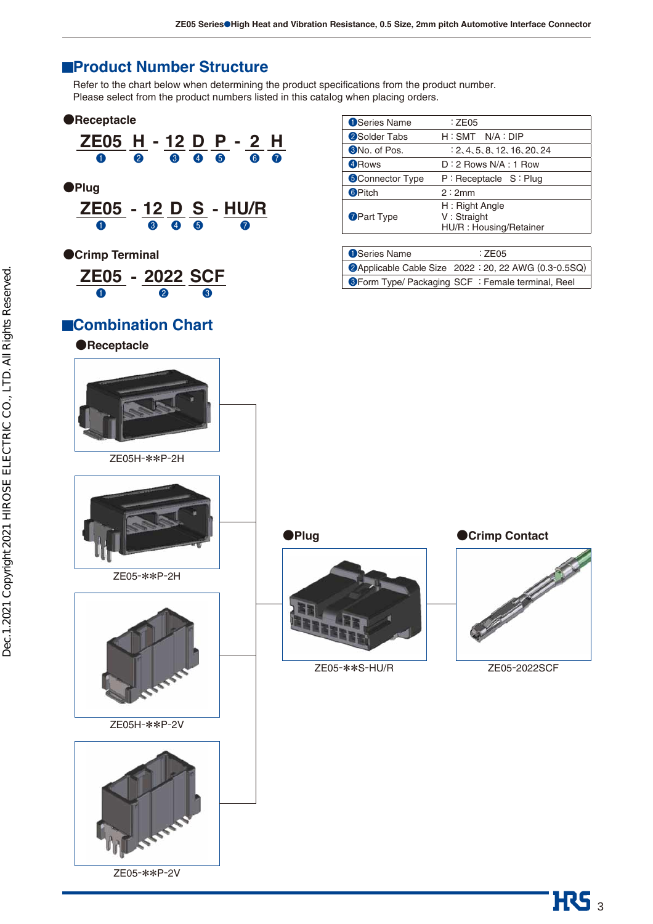#### **Product Number Structure**

Refer to the chart below when determining the product specifications from the product number. Please select from the product numbers listed in this catalog when placing orders.

#### **●Receptacle**







**●Crimp Terminal**

| <b>ZE05 - 2022 SCF</b> |                  |   |
|------------------------|------------------|---|
| Œ                      | $\boldsymbol{2}$ | 3 |

#### **Combination Chart**



| <b>O</b> Series Name   | : ZE05                       |
|------------------------|------------------------------|
| <b>2</b> Solder Tabs   | $H: SMT$ N/A : DIP           |
| <b>3</b> No. of Pos.   | : 2, 4, 5, 8, 12, 16, 20, 24 |
| 4 Rows                 | $D:2$ Rows N/A : 1 Row       |
| <b>SConnector Type</b> | $P:$ Receptacle $S:$ Plug    |
| <b>6</b> Pitch         | 2:2mm                        |
|                        | H: Right Angle               |
| <b>O</b> Part Type     | V: Straight                  |
|                        | HU/R: Housing/Retainer       |
|                        |                              |

| <b>O</b> Series Name                                     | :7F05                                                |
|----------------------------------------------------------|------------------------------------------------------|
|                                                          | 2Applicable Cable Size 2022 : 20, 22 AWG (0.3-0.5SQ) |
| <b>Secom Type/ Packaging SCF</b> : Female terminal, Reel |                                                      |



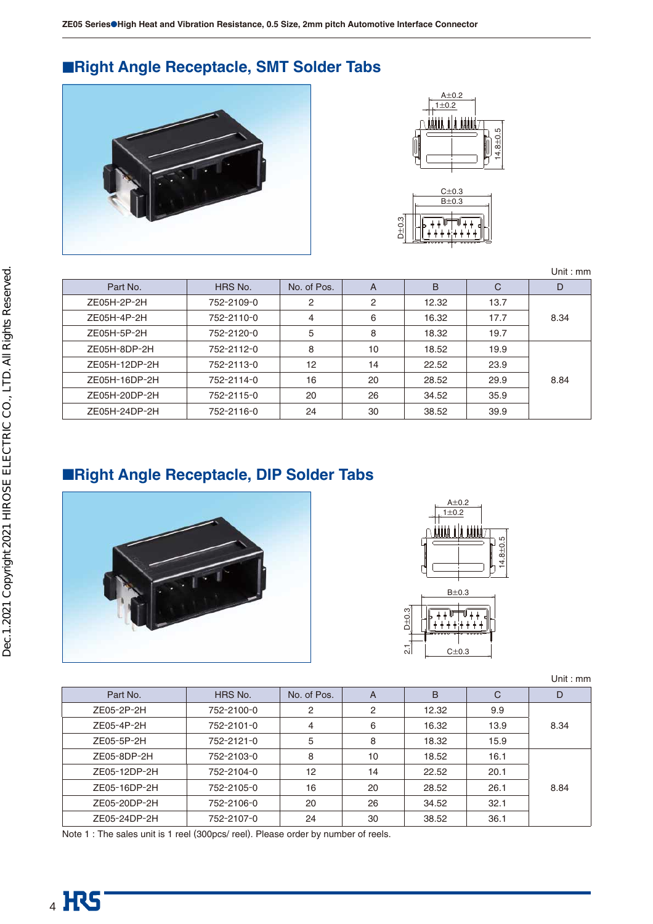**ZE05 Series**●**High Heat and Vibration Resistance, 0.5 Size, 2mm pitch Automotive Interface Connector**

# ■**Right Angle Receptacle, SMT Solder Tabs**





|        | $B\pm 0.3$ |
|--------|------------|
| S<br>۰ |            |

|               |            |             |                |       |      | Unit: mm |
|---------------|------------|-------------|----------------|-------|------|----------|
| Part No.      | HRS No.    | No. of Pos. | A              | B     | C    | D        |
| ZE05H-2P-2H   | 752-2109-0 | 2           | $\overline{2}$ | 12.32 | 13.7 |          |
| ZE05H-4P-2H   | 752-2110-0 | 4           | 6              | 16.32 | 17.7 | 8.34     |
| ZE05H-5P-2H   | 752-2120-0 | 5           | 8              | 18.32 | 19.7 |          |
| ZE05H-8DP-2H  | 752-2112-0 | 8           | 10             | 18.52 | 19.9 |          |
| ZE05H-12DP-2H | 752-2113-0 | 12          | 14             | 22.52 | 23.9 |          |
| ZE05H-16DP-2H | 752-2114-0 | 16          | 20             | 28.52 | 29.9 | 8.84     |
| ZE05H-20DP-2H | 752-2115-0 | 20          | 26             | 34.52 | 35.9 |          |
| ZE05H-24DP-2H | 752-2116-0 | 24          | 30             | 38.52 | 39.9 |          |

### ■**Right Angle Receptacle, DIP Solder Tabs**





|  |  | Unit : $mm$ |
|--|--|-------------|
|  |  |             |
|  |  |             |

|              |            |             |    |       |      | <u>UIII . IIIII</u> |
|--------------|------------|-------------|----|-------|------|---------------------|
| Part No.     | HRS No.    | No. of Pos. | A  | B     | C    | D                   |
| ZE05-2P-2H   | 752-2100-0 | 2           | 2  | 12.32 | 9.9  |                     |
| ZE05-4P-2H   | 752-2101-0 | 4           | 6  | 16.32 | 13.9 | 8.34                |
| ZE05-5P-2H   | 752-2121-0 | 5           | 8  | 18.32 | 15.9 |                     |
| ZE05-8DP-2H  | 752-2103-0 | 8           | 10 | 18.52 | 16.1 |                     |
| ZE05-12DP-2H | 752-2104-0 | 12          | 14 | 22.52 | 20.1 |                     |
| ZE05-16DP-2H | 752-2105-0 | 16          | 20 | 28.52 | 26.1 | 8.84                |
| ZE05-20DP-2H | 752-2106-0 | 20          | 26 | 34.52 | 32.1 |                     |
| ZE05-24DP-2H | 752-2107-0 | 24          | 30 | 38.52 | 36.1 |                     |

Note 1 : The sales unit is 1 reel (300pcs/ reel). Please order by number of reels.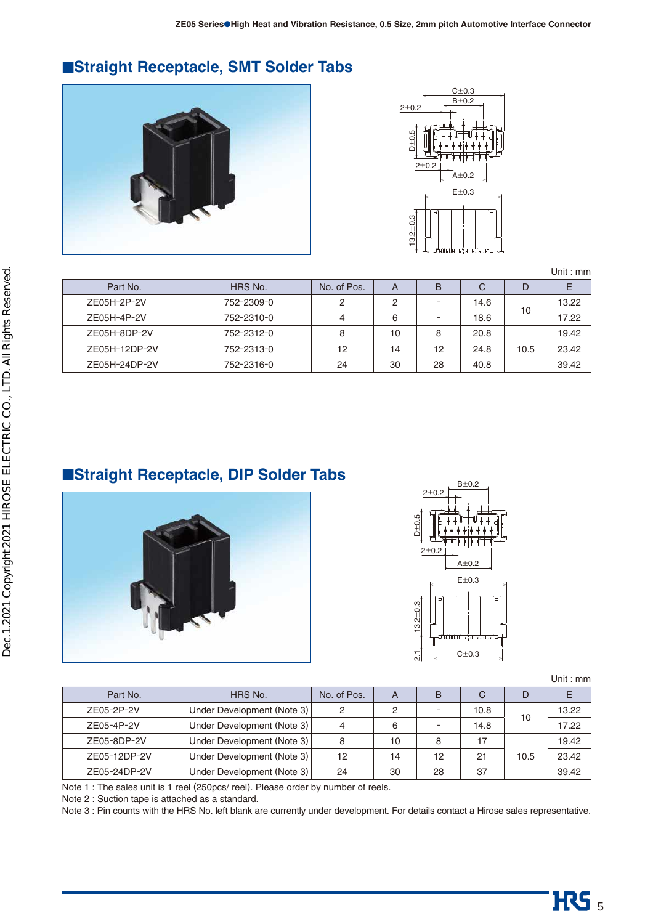# ■**Straight Receptacle, SMT Solder Tabs**





|               |            |             |    |    |      |      | Unit : mm |
|---------------|------------|-------------|----|----|------|------|-----------|
| Part No.      | HRS No.    | No. of Pos. | A  | B  | С    | D    |           |
| ZE05H-2P-2V   | 752-2309-0 | っ           | 2  | -  | 14.6 |      | 13.22     |
| ZE05H-4P-2V   | 752-2310-0 |             | 6  |    | 18.6 | 10   | 17.22     |
| ZE05H-8DP-2V  | 752-2312-0 | 8           | 10 | 8  | 20.8 |      | 19.42     |
| ZE05H-12DP-2V | 752-2313-0 | 12          | 14 | 12 | 24.8 | 10.5 | 23.42     |
| ZE05H-24DP-2V | 752-2316-0 | 24          | 30 | 28 | 40.8 |      | 39.42     |

# ■**Straight Receptacle, DIP Solder Tabs**





Unit : mm

| Part No.     | HRS No.                    | No. of Pos. |    | B  | С    | D    |       |
|--------------|----------------------------|-------------|----|----|------|------|-------|
| ZE05-2P-2V   | Under Development (Note 3) | 2           | ◠  |    | 10.8 |      | 13.22 |
| ZE05-4P-2V   | Under Development (Note 3) | 4           | 6  |    | 14.8 | 10   | 17.22 |
| ZE05-8DP-2V  | Under Development (Note 3) | 8           | 10 | 8  | 17   |      | 19.42 |
| ZE05-12DP-2V | Under Development (Note 3) | 12          | 14 | 12 | 21   | 10.5 | 23.42 |
| ZE05-24DP-2V | Under Development (Note 3) | 24          | 30 | 28 | 37   |      | 39.42 |

Note 1 : The sales unit is 1 reel (250pcs/ reel). Please order by number of reels.

Note 2 : Suction tape is attached as a standard.

Note 3 : Pin counts with the HRS No. left blank are currently under development. For details contact a Hirose sales representative.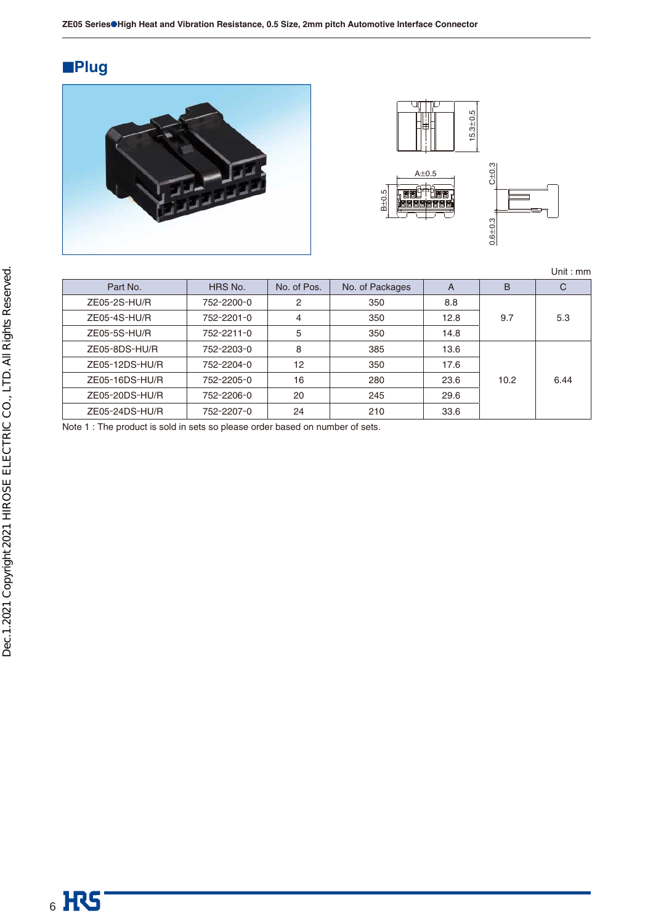# ■**Plug**





Unit : mm

| Part No.       | HRS No.    | No. of Pos. | No. of Packages | A    | B    | С    |
|----------------|------------|-------------|-----------------|------|------|------|
| $ZE05-2S-HU/R$ | 752-2200-0 | 2           | 350             | 8.8  |      |      |
| $ZE05-4S-HU/R$ | 752-2201-0 | 4           | 350             | 12.8 | 9.7  | 5.3  |
| $ZE05-5S-HU/R$ | 752-2211-0 | 5           | 350             | 14.8 |      |      |
| ZE05-8DS-HU/R  | 752-2203-0 | 8           | 385             | 13.6 |      |      |
| ZE05-12DS-HU/R | 752-2204-0 | 12          | 350             | 17.6 |      |      |
| ZE05-16DS-HU/R | 752-2205-0 | 16          | 280             | 23.6 | 10.2 | 6.44 |
| ZE05-20DS-HU/R | 752-2206-0 | 20          | 245             | 29.6 |      |      |
| ZE05-24DS-HU/R | 752-2207-0 | 24          | 210             | 33.6 |      |      |

Note 1 : The product is sold in sets so please order based on number of sets.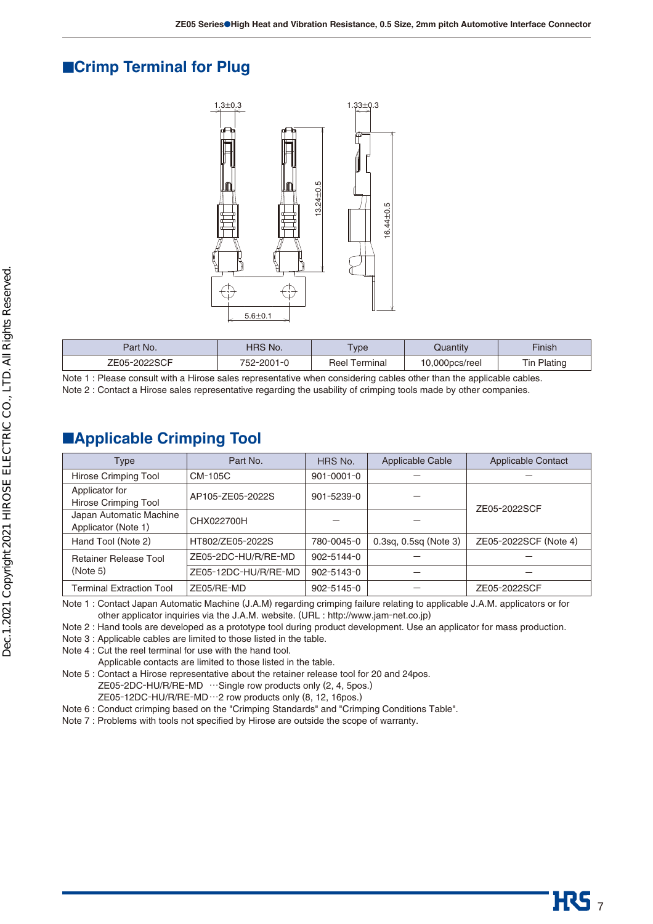#### ■**Crimp Terminal for Plug**



| Part No.   | $\hat{N}$ No.<br>טחד | <b>ype</b>       | Quantıty    | Finish        |
|------------|----------------------|------------------|-------------|---------------|
| $7F$ $0F-$ | 752<br>-2001         | Reel<br>™erminal | 000pcs/reel | eting<br>. In |

| Note 1: Please consult with a Hirose sales representative when considering cables other than the applicable cables. |  |  |
|---------------------------------------------------------------------------------------------------------------------|--|--|
| Note 2 : Contact a Hirose sales representative regarding the usability of crimping tools made by other companies.   |  |  |

#### ■**Applicable Crimping Tool**

| Type                                     | Part No.             | HRS No.          | Applicable Cable            | <b>Applicable Contact</b> |
|------------------------------------------|----------------------|------------------|-----------------------------|---------------------------|
| Hirose Crimping Tool                     | CM-105C              | $901 - 0001 - 0$ |                             |                           |
| Applicator for                           | AP105-ZE05-2022S     | 901-5239-0       |                             |                           |
| Hirose Crimping Tool                     |                      |                  |                             | ZE05-2022SCF              |
| Japan Automatic Machine                  | CHX022700H           |                  |                             |                           |
| Applicator (Note 1)                      |                      |                  |                             |                           |
| Hand Tool (Note 2)                       | HT802/ZE05-2022S     | 780-0045-0       | $0.3$ sq, $0.5$ sq (Note 3) | ZE05-2022SCF (Note 4)     |
| <b>Retainer Release Tool</b><br>(Note 5) | ZE05-2DC-HU/R/RE-MD  | 902-5144-0       |                             |                           |
|                                          | ZE05-12DC-HU/R/RE-MD | 902-5143-0       |                             |                           |
| Terminal Extraction Tool                 | ZE05/RE-MD           | $902 - 5145 - 0$ |                             | ZE05-2022SCF              |

Note 1 : Contact Japan Automatic Machine (J.A.M) regarding crimping failure relating to applicable J.A.M. applicators or for other applicator inquiries via the J.A.M. website. (URL : http://www.jam-net.co.jp)

Note 2 : Hand tools are developed as a prototype tool during product development. Use an applicator for mass production.

Note 3 : Applicable cables are limited to those listed in the table.

Note 4 : Cut the reel terminal for use with the hand tool.

Applicable contacts are limited to those listed in the table.

Note 5 : Contact a Hirose representative about the retainer release tool for 20 and 24pos. ZE05-2DC-HU/R/RE-MD …Single row products only (2, 4, 5pos.)

ZE05-12DC-HU/R/RE-MD …2 row products only (8, 12, 16pos.)

Note 6 : Conduct crimping based on the "Crimping Standards" and "Crimping Conditions Table".

Note 7 : Problems with tools not specified by Hirose are outside the scope of warranty.